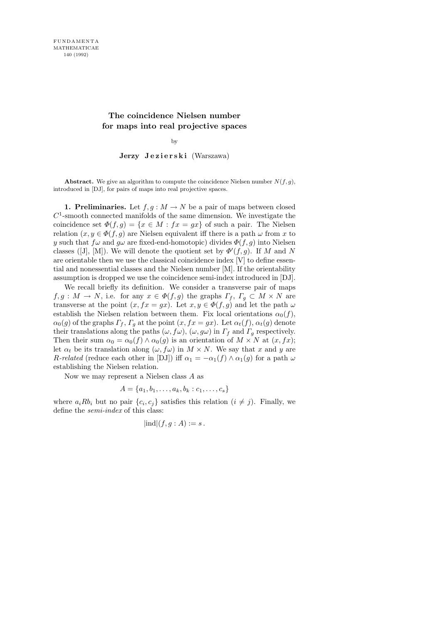## The coincidence Nielsen number for maps into real projective spaces

by

Jerzy Jezierski (Warszawa)

Abstract. We give an algorithm to compute the coincidence Nielsen number  $N(f, g)$ , introduced in [DJ], for pairs of maps into real projective spaces.

1. Preliminaries. Let  $f, g: M \to N$  be a pair of maps between closed  $C<sup>1</sup>$ -smooth connected manifolds of the same dimension. We investigate the coincidence set  $\Phi(f,g) = \{x \in M : fx = gx\}$  of such a pair. The Nielsen relation  $(x, y \in \Phi(f, g)$  are Nielsen equivalent iff there is a path  $\omega$  from x to y such that  $f\omega$  and  $g\omega$  are fixed-end-homotopic) divides  $\Phi(f, g)$  into Nielsen classes ([J], [M]). We will denote the quotient set by  $\Phi'(f,g)$ . If M and N are orientable then we use the classical coincidence index [V] to define essential and nonessential classes and the Nielsen number [M]. If the orientability assumption is dropped we use the coincidence semi-index introduced in [DJ].

We recall briefly its definition. We consider a transverse pair of maps  $f, g: M \to N$ , i.e. for any  $x \in \Phi(f, g)$  the graphs  $\Gamma_f, \Gamma_g \subset M \times N$  are transverse at the point  $(x, fx = gx)$ . Let  $x, y \in \Phi(f, g)$  and let the path  $\omega$ establish the Nielsen relation between them. Fix local orientations  $\alpha_0(f)$ ,  $\alpha_0(g)$  of the graphs  $\Gamma_f$ ,  $\Gamma_g$  at the point  $(x, fx = gx)$ . Let  $\alpha_t(f)$ ,  $\alpha_t(g)$  denote their translations along the paths  $(\omega, f\omega)$ ,  $(\omega, g\omega)$  in  $\Gamma_f$  and  $\Gamma_g$  respectively. Then their sum  $\alpha_0 = \alpha_0(f) \wedge \alpha_0(g)$  is an orientation of  $M \times N$  at  $(x, fx)$ ; let  $\alpha_t$  be its translation along  $(\omega, f\omega)$  in  $M \times N$ . We say that x and y are R-related (reduce each other in [DJ]) iff  $\alpha_1 = -\alpha_1(f) \wedge \alpha_1(g)$  for a path  $\omega$ establishing the Nielsen relation.

Now we may represent a Nielsen class A as

$$
A = \{a_1, b_1, \ldots, a_k, b_k : c_1, \ldots, c_s\}
$$

where  $a_i R b_i$  but no pair  $\{c_i, c_j\}$  satisfies this relation  $(i \neq j)$ . Finally, we define the semi-index of this class:

$$
|\mathrm{ind}|(f,g:A):=s.
$$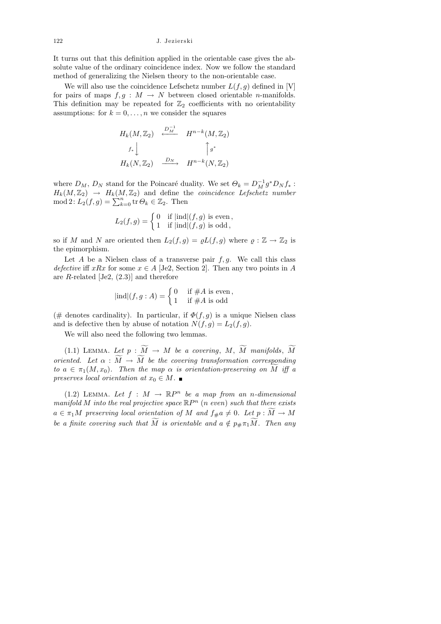It turns out that this definition applied in the orientable case gives the absolute value of the ordinary coincidence index. Now we follow the standard method of generalizing the Nielsen theory to the non-orientable case.

We will also use the coincidence Lefschetz number  $L(f, g)$  defined in [V] for pairs of maps  $f, g : M \to N$  between closed orientable *n*-manifolds. This definition may be repeated for  $\mathbb{Z}_2$  coefficients with no orientability assumptions: for  $k = 0, \ldots, n$  we consider the squares

$$
H_k(M, \mathbb{Z}_2) \xrightarrow{D_M^{-1}} H^{n-k}(M, \mathbb{Z}_2)
$$
  

$$
f_* \downarrow \qquad \qquad \int g^*
$$
  

$$
H_k(N, \mathbb{Z}_2) \xrightarrow{D_N} H^{n-k}(N, \mathbb{Z}_2)
$$

where  $D_M$ ,  $D_N$  stand for the Poincaré duality. We set  $\Theta_k = D_M^{-1} g^* D_N f_*$ :  $H_k(M,\mathbb{Z}_2) \rightarrow H_k(M,\mathbb{Z}_2)$  and define the *coincidence Lefschetz number*  $\text{mod } 2$ :  $L_2(f,g) = \sum_{k=0}^n \text{tr } \Theta_k \in \mathbb{Z}_2$ . Then

$$
L_2(f,g) = \begin{cases} 0 & \text{if } |\text{ind}|(f,g) \text{ is even,} \\ 1 & \text{if } |\text{ind}|(f,g) \text{ is odd,} \end{cases}
$$

so if M and N are oriented then  $L_2(f,g) = \varrho L(f,g)$  where  $\varrho : \mathbb{Z} \to \mathbb{Z}_2$  is the epimorphism.

Let A be a Nielsen class of a transverse pair  $f, g$ . We call this class defective iff xRx for some  $x \in A$  [Je2, Section 2]. Then any two points in A are  $R$ -related [Je2,  $(2.3)$ ] and therefore

$$
|\text{ind}|(f,g:A) = \begin{cases} 0 & \text{if } \#A \text{ is even,} \\ 1 & \text{if } \#A \text{ is odd} \end{cases}
$$

(# denotes cardinality). In particular, if  $\Phi(f, g)$  is a unique Nielsen class and is defective then by abuse of notation  $N(f, g) = L_2(f, g)$ .

We will also need the following two lemmas.

(1.1) LEMMA. Let  $p : \widetilde{M} \to M$  be a covering,  $M, \widetilde{M}$  manifolds,  $\widetilde{M}$ oriented. Let  $\alpha : \widetilde{M} \to \widetilde{M}$  be the covering transformation corresponding to  $a \in \pi_1(M, x_0)$ . Then the map  $\alpha$  is orientation-preserving on M iff a preserves local orientation at  $x_0 \in M$ . ■

(1.2) LEMMA. Let  $f : M \to \mathbb{R}P^n$  be a map from an n-dimensional manifold M into the real projective space  $\mathbb{R}P^n$  (n even) such that there exists  $a \in \pi_1M$  preserving local orientation of M and  $f_{\#}a \neq 0$ . Let  $p : M \to M$ be a finite covering such that M is orientable and  $a \notin p_{\#} \pi_1 M$ . Then any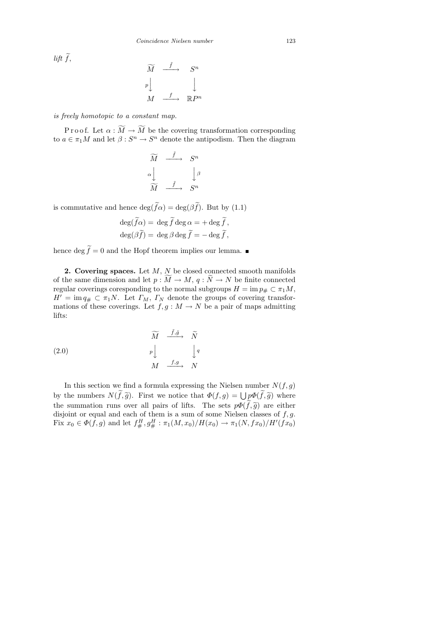$lift\ f,$ 

$$
\widetilde{M} \xrightarrow{\tilde{f}} S^n
$$
\n
$$
p \downarrow \qquad \qquad \downarrow
$$
\n
$$
M \xrightarrow{f} \mathbb{R}P^n
$$

is freely homotopic to a constant map.

P r o o f. Let  $\alpha : \widetilde{M} \to \widetilde{M}$  be the covering transformation corresponding to  $a \in \pi_1 M$  and let  $\beta: S^n \to S^n$  denote the antipodism. Then the diagram

$$
\widetilde{M} \xrightarrow{\tilde{f}} S^n
$$
\n
$$
\alpha \downarrow \qquad \qquad \downarrow \beta
$$
\n
$$
\widetilde{M} \xrightarrow{\tilde{f}} S^n
$$

is commutative and hence  $\deg(f\alpha) = \deg(\beta f)$ . But by (1.1)

$$
\deg(\widetilde{f}\alpha) = \deg \widetilde{f} \deg \alpha = + \deg \widetilde{f},
$$
  

$$
\deg(\beta \widetilde{f}) = \deg \beta \deg \widetilde{f} = -\deg \widetilde{f},
$$

hence deg  $f = 0$  and the Hopf theorem implies our lemma.

**2. Covering spaces.** Let  $M$ ,  $N$  be closed connected smooth manifolds of the same dimension and let  $p : M \to M$ ,  $q : N \to N$  be finite connected regular coverings coresponding to the normal subgroups  $H = \text{im } p_{\#} \subset \pi_1 M$ ,  $H' = \text{im } q_{\#} \subset \pi_1 N$ . Let  $\Gamma_M$ ,  $\Gamma_N$  denote the groups of covering transformations of these coverings. Let  $f, g : M \to N$  be a pair of maps admitting lifts:

(2.0)  
\n
$$
\widetilde{M} \xrightarrow{f, \tilde{g}} \widetilde{N}
$$
\n
$$
p \downarrow \qquad \qquad \downarrow q
$$
\n
$$
M \xrightarrow{f, g} N
$$

In this section we find a formula expressing the Nielsen number  $N(f, g)$ by the numbers  $N(f, \tilde{g})$ . First we notice that  $\Phi(f, g) = \bigcup p \Phi(f, \tilde{g})$  where the summation runs over all pairs of lifts. The sets  $p\Phi(\tilde{f},\tilde{g})$  are either disjoint or equal and each of them is a sum of some Nielsen classes of  $f, g$ . Fix  $x_0 \in \Phi(f, g)$  and let  $f^H_{\#}, g^H_{\#} : \pi_1(M, x_0)/H(x_0) \to \pi_1(N, fx_0)/H'(fx_0)$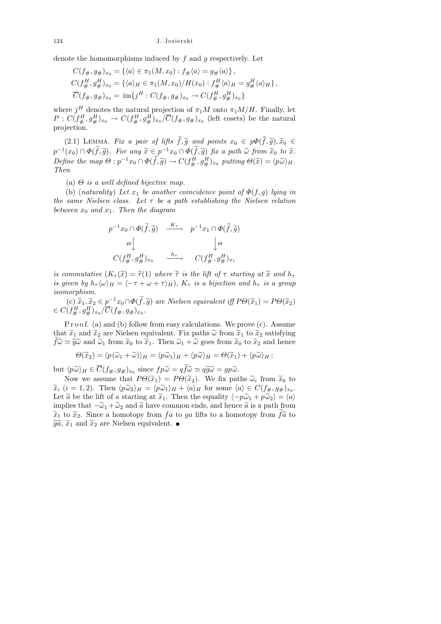denote the homomorphisms induced by  $f$  and  $g$  respectively. Let

$$
C(f_{\#}, g_{\#})_{x_0} = \{ \langle a \rangle \in \pi_1(M, x_0) : f_{\#} \langle a \rangle = g_{\#} \langle a \rangle \},
$$
  
\n
$$
C(f_{\#}^H, g_{\#}^H)_{x_0} = \{ \langle a \rangle_H \in \pi_1(M, x_0) / H(x_0) : f_{\#}^H \langle a \rangle_H = g_{\#}^H \langle a \rangle_H \},
$$
  
\n
$$
\overline{C}(f_{\#}, g_{\#})_{x_0} = \text{im}\{j^H : C(f_{\#}, g_{\#})_{x_0} \to C(f_{\#}^H, g_{\#}^H)_{x_0}\}
$$

where  $j^H$  denotes the natural projection of  $\pi_1 M$  onto  $\pi_1 M/H$ . Finally, let  $P: C(f_\#^H, g_\#^H)_{x_0} \to C(f_\#^H, g_\#^H)_{x_0}/\overline{C}(f_\#, g_\#)_{x_0}$  (left cosets) be the natural projection.

(2.1) LEMMA. Fix a pair of lifts  $\widetilde{f},\widetilde{g}$  and points  $x_0 \in p\Phi(\widetilde{f},\widetilde{g}),\widetilde{x}_0 \in$  $p^{-1}(x_0) \cap \Phi(\tilde{f}, \tilde{g})$ . For any  $\tilde{x} \in p^{-1}x_0 \cap \Phi(\tilde{f}, \tilde{g})$  fix a path  $\tilde{\omega}$  from  $\tilde{x}_0$  to  $\tilde{x}$ .<br>Define the wave  $Q \circ x^{-1}x_0 \circ \Phi(\tilde{f}, \tilde{g})$ .  $G(H,H)$  surprises  $Q(\tilde{g}) = \langle x, \tilde{g} \rangle$ Define the map  $\Theta: p^{-1}x_0 \cap \Phi(\tilde{f}, \tilde{g}) \to C(f^H_{\#}, g^H_{\#})_{x_0}$  putting  $\Theta(\tilde{x}) = \langle p\tilde{\omega} \rangle_H$ .<br>Then Then

(a)  $\Theta$  is a well defined bijective map.

(b) (naturality) Let  $x_1$  be another coincidence point of  $\Phi(f, g)$  lying in the same Nielsen class. Let  $\tau$  be a path establishing the Nielsen relation between  $x_0$  and  $x_1$ . Then the diagram

$$
p^{-1}x_0 \cap \Phi(\tilde{f}, \tilde{g}) \xrightarrow{\quad K_{\tau}} \quad p^{-1}x_1 \cap \Phi(\tilde{f}, \tilde{g})
$$

$$
\Theta \downarrow \qquad \qquad \downarrow \Theta
$$

$$
C(f_{\#}^H, g_{\#}^H)_{x_0} \xrightarrow{\quad h_{\tau}} \quad C(f_{\#}^H, g_{\#}^H)_{x_1}
$$

is commutative  $(K_\tau(\tilde{x}) = \tilde{\tau}(1)$  where  $\tilde{\tau}$  is the lift of  $\tau$  starting at  $\tilde{x}$  and  $h_\tau$ is given by  $h_{\tau} \langle \omega \rangle_H = \langle -\tau + \omega + \tau \rangle_H$ ,  $K_{\tau}$  is a bijection and  $h_{\tau}$  is a group isomorphism.

(c)  $\widetilde{x}_1, \widetilde{x}_2 \in p^{-1}x_0 \cap \Phi(\widetilde{f}, \widetilde{g})$  are Nielsen equivalent iff  $P\Theta(\widetilde{x}_1) = P\Theta(\widetilde{x}_2)$ <br>(fH,  $\Theta^{H}$ )  $\widetilde{C}(f, g)$ )  $\in C(f^H_{\#}, g^H_{\#})_{x_0}/\overline{C}(f_{\#}, g_{\#})_{x_0}.$ 

P r o o f. (a) and (b) follow from easy calculations. We prove (c). Assume that  $\tilde{x}_1$  and  $\tilde{x}_2$  are Nielsen equivalent. Fix paths  $\tilde{\omega}$  from  $\tilde{x}_1$  to  $\tilde{x}_2$  satisfying  $f\tilde{\omega} \simeq \tilde{g}\tilde{\omega}$  and  $\tilde{\omega}_1$  from  $\tilde{x}_0$  to  $\tilde{x}_1$ . Then  $\tilde{\omega}_1 + \tilde{\omega}$  goes from  $\tilde{x}_0$  to  $\tilde{x}_2$  and hence

$$
\Theta(\widetilde{x}_2) = \langle p(\widetilde{\omega}_1 + \widetilde{\omega}) \rangle_H = \langle p\widetilde{\omega}_1 \rangle_H + \langle p\widetilde{\omega} \rangle_H = \Theta(\widetilde{x}_1) + \langle p\widetilde{\omega} \rangle_H ;
$$

but  $\langle p\tilde{\omega}\rangle_H \in C(f_{\#}, g_{\#})_{x_0}$  since  $fp\tilde{\omega} = qf\tilde{\omega} \simeq q\tilde{g}\tilde{\omega} = gp\tilde{\omega}.$ <br>Now we assume that  $DO(\tilde{\omega}) = DO(\tilde{\omega})$ . We fix not

Now we assume that  $P\Theta(\tilde{x}_1) = P\Theta(\tilde{x}_2)$ . We fix paths  $\tilde{\omega}_i$  from  $\tilde{x}_0$  to  $(i-1, 2)$ . Then  $\langle n \tilde{\omega}_i \rangle_{\mathcal{F}} = \langle n \tilde{\omega}_i \rangle_{\mathcal{F}} + \langle n \rangle_{\mathcal{F}}$  for some  $\langle n \rangle \in C(f_n, a_n)$ .  $\widetilde{x}_i$   $(i = 1, 2)$ . Then  $\langle p\widetilde{\omega}_2 \rangle_H = \langle p\widetilde{\omega}_1 \rangle_H + \langle a \rangle_H$  for some  $\langle a \rangle \in C(f_{\#}, g_{\#})_{x_0}$ .<br>Let  $\widetilde{\alpha}$  be the lift of a starting at  $\widetilde{x}_i$ . Then the equality  $\langle a, \widetilde{\omega}_i + a\widetilde{\omega}_j \rangle = \langle a \rangle$ Let  $\tilde{a}$  be the lift of a starting at  $\tilde{x}_1$ . Then the equality  $\langle -p\tilde{\omega}_1 + p\tilde{\omega}_2 \rangle = \langle a \rangle$ implies that  $-\tilde{\omega}_1 + \tilde{\omega}_2$  and  $\tilde{a}$  have common ends, and hence  $\tilde{a}$  is a path from  $\tilde{x}_1$  to  $\tilde{x}_2$ . Since a homotopy from f a to ga lifts to a homotopy from f  $\tilde{a}$  to  $\tilde{a}$   $\tilde{a}$  and  $\tilde{a}$  are Nielson conjuminators.  $\widetilde{g}\widetilde{a}$ ,  $\widetilde{x}_1$  and  $\widetilde{x}_2$  are Nielsen equivalent.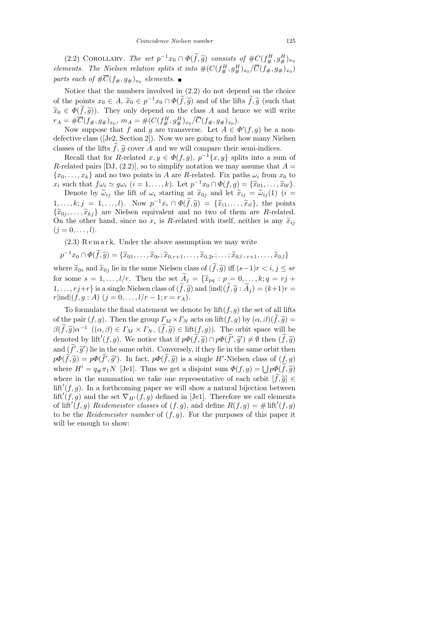(2.2) COROLLARY. The set  $p^{-1}x_0 \cap \Phi(\tilde{f}, \tilde{g})$  consists of  $\#C(f^H_{\#}, g^H_{\#})_{x_0}$ elements. The Nielsen relation splits it into  $\#(C(f^H_{\#}, g^H_{\#})_{x_0}/\overline{C}(f_{\#}, g_{\#})_{x_0})$ parts each of  $\#C(f_{\#}, g_{\#})_{x_0}$  elements.

Notice that the numbers involved in (2.2) do not depend on the choice of the points  $x_0 \in A$ ,  $\widetilde{x}_0 \in p^{-1}x_0 \cap \Phi(\widetilde{f}, \widetilde{g})$  and of the lifts  $\widetilde{f}, \widetilde{g}$  (such that  $\tilde{x}_0 \in \Phi(f, \tilde{g})$ . They only depend on the class A and hence we will write  $r_A = #\overline{C}(f_{\#}, g_{\#})_{x_0}, m_A = #(C(f_{\#}^H, g_{\#}^H)_{x_0}/\overline{C}(f_{\#}, g_{\#})_{x_0}).$ 

Now suppose that f and g are transverse. Let  $A \in \Phi'(f,g)$  be a nondefective class ([Je2, Section 2]). Now we are going to find how many Nielsen classes of the lifts  $f, \tilde{g}$  cover A and we will compare their semi-indices.<br>
Recall that for B related  $g, u \in \Phi(f, g)$ ,  $n^{-1}[g, u]$  eplits into a guy

Recall that for R-related  $x, y \in \Phi(f, g), p^{-1}\{x, y\}$  splits into a sum of R-related pairs [DJ, (2.2)], so to simplify notation we may assume that  $A =$  $\{x_0, \ldots, x_k\}$  and no two points in A are R-related. Fix paths  $\omega_i$  from  $x_0$  to  $x_i$  such that  $f\omega_i \simeq g\omega_i$   $(i = 1, ..., k)$ . Let  $p^{-1}x_0 \cap \Phi(f, g) = {\tilde{x}}_{01}, ..., \tilde{x}_{0l}$ .<br>Denote by  $\tilde{\omega}_i$ , the lift of  $\omega_i$  starting at  $\tilde{x}_i$ , and let  $\tilde{x}_{i,j} = \tilde{\omega}_{i,j}(1)$   $(i = 1, ..., k)$ .

Denote by  $\tilde{\omega}_{ij}$  the lift of  $\omega_i$  starting at  $\tilde{x}_{0j}$  and let  $\tilde{x}_{ij} = \tilde{\omega}_{ij}(1)$  (i =  $1, \ldots, k; j = 1, \ldots, l$ . Now  $p^{-1}x_i \cap \Phi(\tilde{f}, \tilde{g}) = {\tilde{x}}_{i1}, \ldots, \tilde{x}}_{il},$  the points  $\tilde{z}_{i1}, \ldots, \tilde{z}_{il}$ , the points  ${\lbrace \widetilde{x}_{0j},\ldots,\widetilde{x}_{kj} \rbrace}$  are Nielsen equivalent and no two of them are R-related. On the other hand, since no  $x_i$  is R-related with itself, neither is any  $\tilde{x}_{ij}$ <br>( $i = 0, \ldots, l$ )  $(j = 0, \ldots, l).$ 

 $(2.3)$  Remark. Under the above assumption we may write

$$
p^{-1}x_0 \cap \Phi(\widetilde{f}, \widetilde{g}) = \{\widetilde{x}_{01}, \dots, \widetilde{x}_{0r}; \widetilde{x}_{0,r+1}, \dots, \widetilde{x}_{0,2r}; \dots; \widetilde{x}_{0,l-r+1}, \dots, \widetilde{x}_{0,l}\}
$$

where  $\widetilde{x}_{0i}$  and  $\widetilde{x}_{0j}$  lie in the same Nielsen class of  $(\widetilde{f},\widetilde{g})$  iff  $(s-1)r < i, j \leq sr$ for some  $s = 1, \ldots, l/r$ . Then the set  $\widetilde{A}_j = \{\widetilde{x}_{pq} : p = 0, \ldots, k; q = rj + 1\}$  $1, \ldots, rj+r$  is a single Nielsen class of  $(\tilde{f},\tilde{g})$  and  $|ind|(\tilde{f},\tilde{g}:\tilde{A}_j)=(k+1)r=$  $r|\text{ind}|(f, g : A)$   $(j = 0, \ldots, l/r - 1; r = r_A)$ .

To formulate the final statement we denote by  $\text{lift}(f, g)$  the set of all lifts of the pair  $(f, g)$ . Then the group  $\Gamma_M \times \Gamma_N$  acts on lift $(f, g)$  by  $(\alpha, \beta)(f, \tilde{g}) =$  $\beta(\tilde{f},\tilde{g})\alpha^{-1}$   $((\alpha,\beta)\in\Gamma_M\times\Gamma_N, (\tilde{f},\tilde{g})\in\text{lift}(f,g))$ . The orbit space will be denoted by  $\text{lift}(f,\alpha)$ . We notice that if  $\alpha\delta(\tilde{f},\tilde{g})\cap\alpha\delta(\tilde{f},\tilde{g}')$ .  $(\beta, \text{then } (\tilde{f},\tilde{g}))$ denoted by lift<sup>'</sup> $(f, g)$ . We notice that if  $p\Phi(\tilde{f}, \tilde{g}) \cap p\Phi(\tilde{f}', \tilde{g}') \neq \emptyset$  then  $(\tilde{f}, \tilde{g})$ and  $(\widetilde{f}', \widetilde{g}')$  lie in the same orbit. Conversely, if they lie in the same orbit then  $p\Phi(\tilde{f}, \tilde{g}) = p\Phi(\tilde{f}', \tilde{g}')$ . In fact,  $p\Phi(\tilde{f}, \tilde{g})$  is a single H'-Nielsen class of  $(f, g)$ where  $H' = q_{\#} \pi_1 N$  [Je1]. Thus we get a disjoint sum  $\Phi(f, g) = \bigcup p \Phi(f, \tilde{g})$ where in the summation we take one representative of each orbit  $[f,\tilde{g}] \in$  $\text{lift}'(f, g)$ . In a forthcoming paper we will show a natural bijection between  $\text{lift}'(f, g)$  and the set  $\nabla_{H'}(f, g)$  defined in [Je1]. Therefore we call elements of lift<sup>'</sup> $(f, g)$  Reidemeister classes of  $(f, g)$ , and define  $R(f, g) = \# \text{ lift}'(f, g)$ to be the *Reidemeister number* of  $(f, g)$ . For the purposes of this paper it will be enough to show: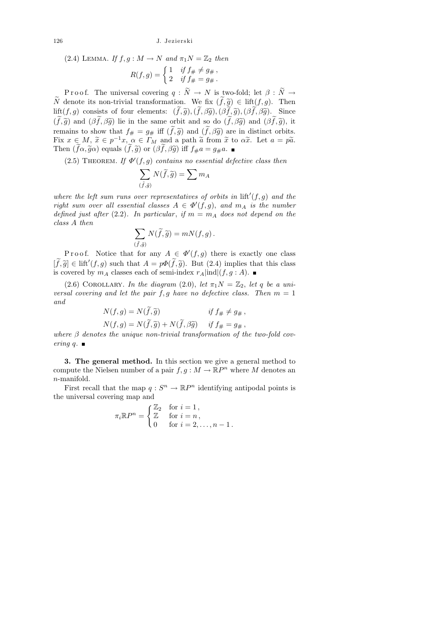(2.4) LEMMA. If  $f, g: M \to N$  and  $\pi_1 N = \mathbb{Z}_2$  then

$$
R(f,g) = \begin{cases} 1 & \text{if } f_\# \neq g_\# , \\ 2 & \text{if } f_\# = g_\# . \end{cases}
$$

P r o o f. The universal covering  $q : \tilde{N} \to N$  is two-fold; let  $\beta : \tilde{N} \to$  $\widetilde{N}$  denote its non-trivial transformation. We fix  $(f,\widetilde{g}) \in \text{lift}(f,g)$ . Then lift $(f, g)$  consists of four elements:  $(\tilde{f}, \tilde{g}),(\tilde{f}, \beta \tilde{g}),(\beta \tilde{f}, \tilde{g}),(\beta \tilde{f}, \beta \tilde{g}).$  Since  $(\tilde{f},\tilde{g})$  and  $(\beta \tilde{f},\beta \tilde{g})$  lie in the same orbit and so do  $(\tilde{f},\beta \tilde{g})$  and  $(\beta \tilde{f},\tilde{g})$ , it remains to show that  $f_{#} = g_{#}$  iff  $(\tilde{f}, \tilde{g})$  and  $(\tilde{f}, \beta \tilde{g})$  are in distinct orbits. Fix  $x \in M$ ,  $\widetilde{x} \in p^{-1}x$ ,  $\alpha \in \Gamma_M$  and a path  $\widetilde{a}$  from  $\widetilde{x}$  to  $\alpha \widetilde{x}$ . Let  $a = p\widetilde{a}$ .<br>Then  $(\widetilde{f}\alpha \widetilde{\alpha} \alpha)$  equals  $(\widetilde{f}\widetilde{\alpha})$  or  $(\widetilde{\beta} \widetilde{f} \widetilde{\alpha} \widetilde{\alpha})$  iff  $f,g = g,g =$ Then  $(f\alpha, \tilde{g}\alpha)$  equals  $(f, \tilde{g})$  or  $(\beta \tilde{f}, \beta \tilde{g})$  iff  $f_{\#}a = g_{\#}a$ .

(2.5) THEOREM. If  $\Phi'(f,g)$  contains no essential defective class then

$$
\sum_{(\tilde{f}, \tilde{g})} N(\tilde{f}, \tilde{g}) = \sum m_A
$$

where the left sum runs over representatives of orbits in  $\mathrm{lift}'(f,g)$  and the right sum over all essential classes  $A \in \Phi'(f,g)$ , and  $m_A$  is the number defined just after (2.2). In particular, if  $m = m<sub>A</sub>$  does not depend on the class A then

$$
\sum_{(\tilde{f}, \tilde{g})} N(\tilde{f}, \tilde{g}) = mN(f, g) .
$$

Proof. Notice that for any  $A \in \Phi'(f,g)$  there is exactly one class  $[\tilde{f}, \tilde{g}] \in \text{lift}'(f, g)$  such that  $A = p\Phi(\tilde{f}, \tilde{g})$ . But (2.4) implies that this class is covered by  $m_A$  classes each of semi-index  $r_A$ |ind|(f, g : A).

(2.6) COROLLARY. In the diagram (2.0), let  $\pi_1 N = \mathbb{Z}_2$ , let q be a universal covering and let the pair  $f, g$  have no defective class. Then  $m = 1$ and

$$
N(f,g) = N(f,\widetilde{g}) \qquad \text{if } f_{\#} \neq g_{\#},
$$
  

$$
N(f,g) = N(\widetilde{f},\widetilde{g}) + N(\widetilde{f},\beta\widetilde{g}) \qquad \text{if } f_{\#} = g_{\#},
$$

 $N(f,g) = N(f,\widetilde{g}) + N(f,\beta \widetilde{g})$  if  $f_{\#} = g_{\#}$ ,<br>where  $\beta$  denotes the unique non-trivial transformation of the two-fold covering  $q$ .

3. The general method. In this section we give a general method to compute the Nielsen number of a pair  $f, g: M \to \mathbb{R}P^n$  where M denotes an n-manifold.

First recall that the map  $q: S^n \to \mathbb{R}P^n$  identifying antipodal points is the universal covering map and

$$
\pi_i \mathbb{R} P^n = \begin{cases} \mathbb{Z}_2 & \text{for } i = 1, \\ \mathbb{Z} & \text{for } i = n, \\ 0 & \text{for } i = 2, \dots, n - 1. \end{cases}
$$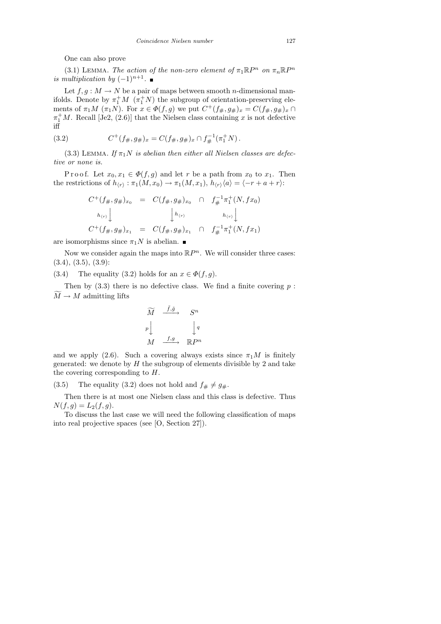One can also prove

(3.1) LEMMA. The action of the non-zero element of  $\pi_1 \mathbb{R} P^n$  on  $\pi_n \mathbb{R} P^n$ is multiplication by  $(-1)^{n+1}$ .

Let  $f, g: M \to N$  be a pair of maps between smooth *n*-dimensional manifolds. Denote by  $\pi_1^+ M$   $(\pi_1^+ N)$  the subgroup of orientation-preserving elements of  $\pi_1 M$   $(\pi_1 N)$ . For  $x \in \Phi(f, g)$  we put  $C^+(f_{\#}, g_{\#})_x = C(f_{\#}, g_{\#})_x \cap$  $\pi_1^+M$ . Recall [Je2, (2.6)] that the Nielsen class containing x is not defective iff

(3.2) 
$$
C^+(f_{\#}, g_{\#})_x = C(f_{\#}, g_{\#})_x \cap f_{\#}^{-1}(\pi_1^+ N).
$$

(3.3) LEMMA. If  $\pi_1 N$  is abelian then either all Nielsen classes are defective or none is.

P r o o f. Let  $x_0, x_1 \in \Phi(f, g)$  and let r be a path from  $x_0$  to  $x_1$ . Then the restrictions of  $h_{\langle r \rangle} : \pi_1(M, x_0) \to \pi_1(M, x_1), h_{\langle r \rangle} \langle a \rangle = \langle -r + a + r \rangle$ :

$$
C^{+}(f_{\#}, g_{\#})_{x_{0}} = C(f_{\#}, g_{\#})_{x_{0}} \cap f_{\#}^{-1}\pi_{1}^{+}(N, fx_{0})
$$
  
\n
$$
h_{(r)} \downarrow \qquad \qquad h_{(r)} \downarrow \qquad h_{(r)} \downarrow
$$
  
\n
$$
C^{+}(f_{\#}, g_{\#})_{x_{1}} = C(f_{\#}, g_{\#})_{x_{1}} \cap f_{\#}^{-1}\pi_{1}^{+}(N, fx_{1})
$$

are isomorphisms since  $\pi_1 N$  is abelian.

Now we consider again the maps into  $\mathbb{R}P^n$ . We will consider three cases:  $(3.4), (3.5), (3.9)$ :

(3.4) The equality (3.2) holds for an  $x \in \Phi(f, g)$ .

Then by  $(3.3)$  there is no defective class. We find a finite covering  $p$ :  $\widetilde{M} \to M$  admitting lifts

$$
\widetilde{M} \xrightarrow{\tilde{f}, \tilde{g}} S^n
$$
\n
$$
p \downarrow \qquad \qquad \downarrow q
$$
\n
$$
M \xrightarrow{f, g} \mathbb{R} P^n
$$

and we apply (2.6). Such a covering always exists since  $\pi_1 M$  is finitely generated: we denote by  $H$  the subgroup of elements divisible by 2 and take the covering corresponding to  $H$ .

(3.5) The equality (3.2) does not hold and  $f_{\#} \neq g_{\#}$ .

Then there is at most one Nielsen class and this class is defective. Thus  $N(f, g) = L_2(f, g).$ 

To discuss the last case we will need the following classification of maps into real projective spaces (see [O, Section 27]).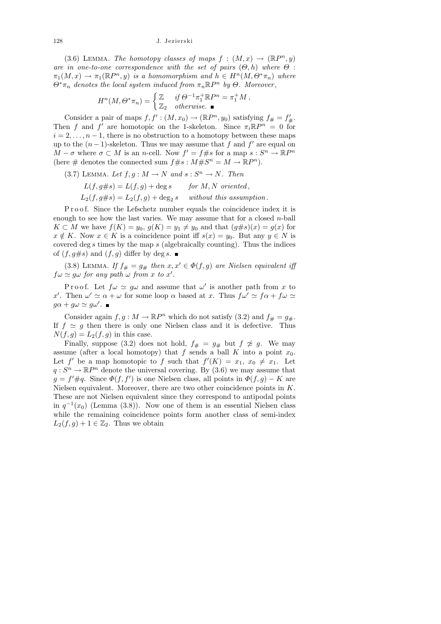(3.6) LEMMA. The homotopy classes of maps  $f : (M, x) \rightarrow (\mathbb{R}P^n, y)$ are in one-to-one correspondence with the set of pairs  $(\Theta, h)$  where  $\Theta$ :  $\pi_1(M, x) \to \pi_1(\mathbb{R}P^n, y)$  is a homomorphism and  $h \in H^n(M, \Theta^* \pi_n)$  where  $\Theta^* \pi_n$  denotes the local system induced from  $\pi_n \mathbb{R}P^n$  by  $\Theta$ . Moreover,

$$
H^{n}(M,\Theta^*\pi_n) = \begin{cases} \mathbb{Z} & \text{if } \Theta^{-1}\pi_1^+\mathbb{R}P^n = \pi_1^+M, \\ \mathbb{Z}_2 & \text{otherwise.} \end{cases}
$$

Consider a pair of maps  $f, f': (M, x_0) \to (\mathbb{R}P^n, y_0)$  satisfying  $f# = f#$ . Then f and f' are homotopic on the 1-skeleton. Since  $\pi_i \mathbb{R}P^n = 0$  for  $i = 2, \ldots, n-1$ , there is no obstruction to a homotopy between these maps up to the  $(n-1)$ -skeleton. Thus we may assume that f and f' are equal on  $M - \sigma$  where  $\sigma \subset M$  is an n-cell. Now  $f' = f \# s$  for a map  $s : S^n \to \mathbb{R}P^n$ (here # denotes the connected sum  $f$ # $s$ :  $M$ # $S<sup>n</sup>$  =  $M \rightarrow \mathbb{R}P<sup>n</sup>$ ).

- (3.7) LEMMA. Let  $f, g: M \to N$  and  $s: S<sup>n</sup> \to N$ . Then
	- $L(f, g \# s) = L(f, g) + \text{deg } s$  for M, N oriented,  $L_2(f, g \# s) = L_2(f, g) + \deg_2 s$  without this assumption.

Proof. Since the Lefschetz number equals the coincidence index it is enough to see how the last varies. We may assume that for a closed  $n$ -ball  $K \subset M$  we have  $f(K) = y_0$ ,  $g(K) = y_1 \neq y_0$  and that  $(g \# s)(x) = g(x)$  for  $x \notin K$ . Now  $x \in K$  is a coincidence point iff  $s(x) = y_0$ . But any  $y \in N$  is covered deg  $s$  times by the map  $s$  (algebraically counting). Thus the indices of  $(f, g \# s)$  and  $(f, g)$  differ by deg s.

(3.8) LEMMA. If  $f_{\#} = g_{\#}$  then  $x, x' \in \Phi(f, g)$  are Nielsen equivalent iff  $f\omega \simeq g\omega$  for any path  $\omega$  from x to x'.

Proof. Let  $f\omega \simeq g\omega$  and assume that  $\omega'$  is another path from x to x'. Then  $\omega' \simeq \alpha + \omega$  for some loop  $\alpha$  based at x. Thus  $f\omega' \simeq f\alpha + f\omega \simeq$  $g\alpha + g\omega \simeq g\omega'.$ 

Consider again  $f, g: M \to \mathbb{R}P^n$  which do not satisfy (3.2) and  $f_{\#} = g_{\#}$ . If  $f \simeq g$  then there is only one Nielsen class and it is defective. Thus  $N(f, g) = L_2(f, g)$  in this case.

Finally, suppose (3.2) does not hold,  $f_{\#} = g_{\#}$  but  $f \not\cong g$ . We may assume (after a local homotopy) that f sends a ball K into a point  $x_0$ . Let  $f'$  be a map homotopic to f such that  $f'(K) = x_1, x_0 \neq x_1$ . Let  $q: S^n \to \mathbb{R}P^n$  denote the universal covering. By  $(3.6)$  we may assume that  $g = f' \# q$ . Since  $\Phi(f, f')$  is one Nielsen class, all points in  $\Phi(f, g) - K$  are Nielsen equivalent. Moreover, there are two other coincidence points in K. These are not Nielsen equivalent since they correspond to antipodal points in  $q^{-1}(x_0)$  (Lemma (3.8)). Now one of them is an essential Nielsen class while the remaining coincidence points form another class of semi-index  $L_2(f,g) + 1 \in \mathbb{Z}_2$ . Thus we obtain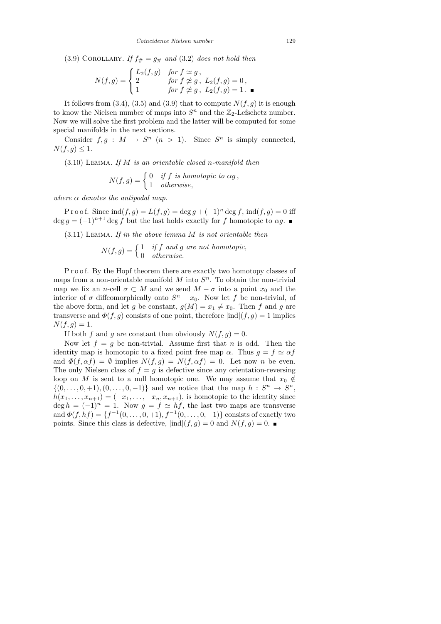(3.9) COROLLARY. If  $f_{\#} = g_{\#}$  and (3.2) does not hold then

$$
N(f,g) = \begin{cases} L_2(f,g) & \text{for } f \simeq g, \\ 2 & \text{for } f \not\cong g, \\ 1 & \text{for } f \not\cong g, \ L_2(f,g) = 1. \end{cases}
$$

It follows from  $(3.4)$ ,  $(3.5)$  and  $(3.9)$  that to compute  $N(f, g)$  it is enough to know the Nielsen number of maps into  $S<sup>n</sup>$  and the  $\mathbb{Z}_2$ -Lefschetz number. Now we will solve the first problem and the latter will be computed for some special manifolds in the next sections.

Consider  $f, g : M \to S^n$   $(n > 1)$ . Since  $S^n$  is simply connected,  $N(f,g)\leq 1.$ 

 $(3.10)$  LEMMA. If M is an orientable closed n-manifold then

$$
N(f,g) = \begin{cases} 0 & \text{if } f \text{ is homotopic to } \alpha g, \\ 1 & \text{otherwise,} \end{cases}
$$

where  $\alpha$  denotes the antipodal map.

P r o o f. Since  $\text{ind}(f,g) = L(f,g) = \deg g + (-1)^n \deg f$ ,  $\text{ind}(f,g) = 0$  iff  $\deg g = (-1)^{n+1} \deg f$  but the last holds exactly for f homotopic to  $\alpha g$ .

 $(3.11)$  LEMMA. If in the above lemma M is not orientable then

$$
N(f,g) = \begin{cases} 1 & if f \text{ and } g \text{ are not homotopic,} \\ 0 & otherwise. \end{cases}
$$

Proof. By the Hopf theorem there are exactly two homotopy classes of maps from a non-orientable manifold  $M$  into  $S<sup>n</sup>$ . To obtain the non-trivial map we fix an n-cell  $\sigma \subset M$  and we send  $M - \sigma$  into a point  $x_0$  and the interior of  $\sigma$  diffeomorphically onto  $S<sup>n</sup> - x<sub>0</sub>$ . Now let f be non-trivial, of the above form, and let g be constant,  $g(M) = x_1 \neq x_0$ . Then f and g are transverse and  $\Phi(f,g)$  consists of one point, therefore  $|ind|(f,g) = 1$  implies  $N(f, g) = 1.$ 

If both f and g are constant then obviously  $N(f, g) = 0$ .

Now let  $f = g$  be non-trivial. Assume first that n is odd. Then the identity map is homotopic to a fixed point free map  $\alpha$ . Thus  $g = f \simeq \alpha f$ and  $\Phi(f, \alpha f) = \emptyset$  implies  $N(f, g) = N(f, \alpha f) = 0$ . Let now n be even. The only Nielsen class of  $f = g$  is defective since any orientation-reversing loop on M is sent to a null homotopic one. We may assume that  $x_0 \notin$  $\{(0, \ldots, 0, +1), (0, \ldots, 0, -1)\}\$ and we notice that the map  $h: S^n \to S^n$ ,  $h(x_1, \ldots, x_{n+1}) = (-x_1, \ldots, -x_n, x_{n+1}),$  is homotopic to the identity since  $\deg h = (-1)^n = 1$ . Now  $g = f \simeq hf$ , the last two maps are transverse and  $\Phi(f, hf) = \{f^{-1}(0, \ldots, 0, +1), f^{-1}(0, \ldots, 0, -1)\}\)$  consists of exactly two points. Since this class is defective,  $|ind|(f,g) = 0$  and  $N(f,g) = 0$ .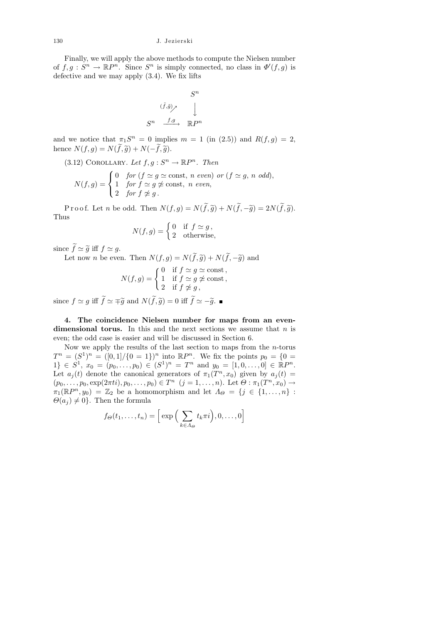Finally, we will apply the above methods to compute the Nielsen number of  $f, g: S^n \to \mathbb{R}P^n$ . Since  $S^n$  is simply connected, no class in  $\Phi'(f, g)$  is defective and we may apply (3.4). We fix lifts

$$
S^n
$$
  

$$
\overset{(\tilde{f},\tilde{g})_{\nearrow}}{\underset{S^n}{\longrightarrow}} \bigcup_{m \in P^n} S^m
$$

and we notice that  $\pi_1 S^n = 0$  implies  $m = 1$  (in (2.5)) and  $R(f, g) = 2$ , hence  $N(f, g) = N(\tilde{f}, \tilde{g}) + N(-\tilde{f}, \tilde{g}).$ 

(3.12) COROLLARY. Let  $f, g: S^n \to \mathbb{R}P^n$ . Then

$$
N(f,g) = \begin{cases} 0 & \text{for } (f \simeq g \simeq \text{const}, n \text{ even}) \text{ or } (f \simeq g, n \text{ odd}), \\ 1 & \text{for } f \simeq g \ncong \text{const}, n \text{ even}, \\ 2 & \text{for } f \ncong g. \end{cases}
$$

P r o o f. Let n be odd. Then  $N(f,g) = N(\tilde{f},\tilde{g}) + N(\tilde{f},-\tilde{g}) = 2N(\tilde{f},\tilde{g}).$ Thus

$$
N(f,g) = \begin{cases} 0 & \text{if } f \simeq g, \\ 2 & \text{otherwise,} \end{cases}
$$

since  $f \simeq \tilde{g}$  iff  $f \simeq g$ .<br>Let now n be even

Let now *n* be even. Then  $N(f,g) = N(\tilde{f}, \tilde{g}) + N(\tilde{f}, -\tilde{g})$  and

$$
N(f,g) = \begin{cases} 0 & \text{if } f \simeq g \simeq \text{const,} \\ 1 & \text{if } f \simeq g \not\simeq \text{const,} \\ 2 & \text{if } f \not\simeq g, \end{cases}
$$

since  $f \simeq g$  iff  $f \simeq \pm \tilde{g}$  and  $N(f, \tilde{g}) = 0$  iff  $f \simeq -\tilde{g}$ .

4. The coincidence Nielsen number for maps from an evendimensional torus. In this and the next sections we assume that  $n$  is even; the odd case is easier and will be discussed in Section 6.

Now we apply the results of the last section to maps from the  $n$ -torus  $T^n = (S^1)^n = ([0,1]/\{0=1\})^n$  into  $\mathbb{R}P^n$ . We fix the points  $p_0 = \{0=1\}$  $1\} \in S^1, x_0 = (p_0, \ldots, p_0) \in (S^1)^n = T^n$  and  $y_0 = [1, 0, \ldots, 0] \in \mathbb{R}P^n$ . Let  $a_j(t)$  denote the canonical generators of  $\pi_1(T^n, x_0)$  given by  $a_j(t) =$  $(p_0, \ldots, p_0, \exp(2\pi t i), p_0, \ldots, p_0) \in T^n$   $(j = 1, \ldots, n)$ . Let  $\Theta : \pi_1(T^n, x_0) \to$  $\pi_1(\mathbb{R}P^n, y_0) = \mathbb{Z}_2$  be a homomorphism and let  $\Lambda_{\Theta} = \{j \in \{1, \ldots, n\} :$  $\Theta(a_i) \neq 0$ . Then the formula

$$
f_{\Theta}(t_1,\ldots,t_n) = \left[\exp\left(\sum_{k \in \Lambda_{\Theta}} t_k \pi i\right), 0, \ldots, 0\right]
$$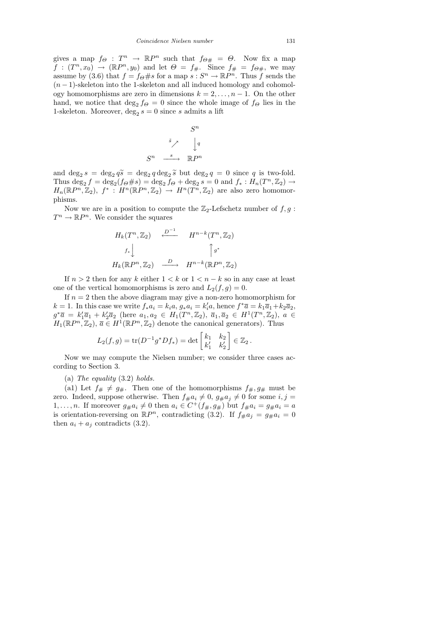gives a map  $f_{\Theta} : T^n \to \mathbb{R}P^n$  such that  $f_{\Theta \#} = \Theta$ . Now fix a map  $f:(T^n,x_0)\rightarrow (\mathbb{R}P^n,y_0)$  and let  $\Theta = f_{\#}$ . Since  $f_{\#} = f_{\Theta\#}$ , we may assume by (3.6) that  $f = f_{\Theta} \# s$  for a map  $s : S^n \to \mathbb{R}P^n$ . Thus  $\tilde{f}$  sends the  $(n-1)$ -skeleton into the 1-skeleton and all induced homology and cohomology homomorphisms are zero in dimensions  $k = 2, \ldots, n - 1$ . On the other hand, we notice that  $\deg_2 f_{\Theta} = 0$  since the whole image of  $f_{\Theta}$  lies in the 1-skeleton. Moreover,  $\deg_2 s = 0$  since s admits a lift

$$
S^n
$$
  

$$
\overset{\tilde{s}}{\nearrow} \qquad \bigg\downarrow^q
$$
  

$$
S^n \quad \xrightarrow{\quad s \quad} \mathbb{R} P^n
$$

and deg<sub>2</sub>  $s = \deg_2 q \tilde{s} = \deg_2 q \deg_2 \tilde{s}$  but  $\deg_2 q = 0$  since q is two-fold.<br>Thus dog  $f = \deg_2(f_0 + \epsilon) = \deg_2 f_0 + \deg_2 g = 0$  and  $f : H(T^n, \mathbb{Z}) \to \mathbb{Z}$ Thus  $\deg_2 f = \deg_2(f \otimes \# s) = \deg_2 f \otimes + \deg_2 s = 0$  and  $f_* : H_n(T^n, \mathbb{Z}_2) \to$  $H_n(\mathbb{R}P^n,\mathbb{Z}_2), f^*: H^n(\mathbb{R}P^n,\mathbb{Z}_2) \to H^n(T^n,\mathbb{Z}_2)$  are also zero homomorphisms.

Now we are in a position to compute the  $\mathbb{Z}_2$ -Lefschetz number of  $f, g$ :  $T^n \to \mathbb{R}P^n$ . We consider the squares

$$
H_k(T^n, \mathbb{Z}_2) \xrightarrow{\mathcal{L}^{-1}} H^{n-k}(T^n, \mathbb{Z}_2)
$$
  

$$
f_* \downarrow \qquad \qquad \int g^*
$$
  

$$
H_k(\mathbb{R}P^n, \mathbb{Z}_2) \xrightarrow{D} H^{n-k}(\mathbb{R}P^n, \mathbb{Z}_2)
$$

If  $n > 2$  then for any k either  $1 < k$  or  $1 < n - k$  so in any case at least one of the vertical homomorphisms is zero and  $L_2(f, g) = 0$ .

If  $n = 2$  then the above diagram may give a non-zero homomorphism for  $k = 1$ . In this case we write  $f_* a_i = k_i a$ ,  $g_* a_i = k'_i a$ , hence  $f^* \overline{a} = k_1 \overline{a}_1 + k_2 \overline{a}_2$ ,  $g^*\overline{a} = k'_1\overline{a}_1 + k'_2\overline{a}_2$  (here  $a_1, a_2 \in H_1(T^n, \mathbb{Z}_2)$ ,  $\overline{a}_1, \overline{a}_2 \in H^1(T^n, \mathbb{Z}_2)$ ,  $a \in$  $H_1(\mathbb{R}P^n, \mathbb{Z}_2), \overline{a} \in H^1(\mathbb{R}P^n, \mathbb{Z}_2)$  denote the canonical generators). Thus

$$
L_2(f,g) = \text{tr}(D^{-1}g^*Df_*) = \det\begin{bmatrix} k_1 & k_2 \\ k'_1 & k'_2 \end{bmatrix} \in \mathbb{Z}_2.
$$

Now we may compute the Nielsen number; we consider three cases according to Section 3.

(a) The equality (3.2) holds.

(a1) Let  $f_{\#} \neq g_{\#}$ . Then one of the homomorphisms  $f_{\#}, g_{\#}$  must be zero. Indeed, suppose otherwise. Then  $f_{\#}a_i \neq 0$ ,  $g_{\#}a_j \neq 0$  for some  $i, j =$  $1, \ldots, n$ . If moreover  $g_{\#}a_i \neq 0$  then  $a_i \in C^+(f_{\#}, g_{\#})$  but  $f_{\#}a_i = g_{\#}a_i = a$ is orientation-reversing on  $\mathbb{R}P^n$ , contradicting (3.2). If  $f_{\#}a_j = g_{\#}a_i = 0$ then  $a_i + a_j$  contradicts (3.2).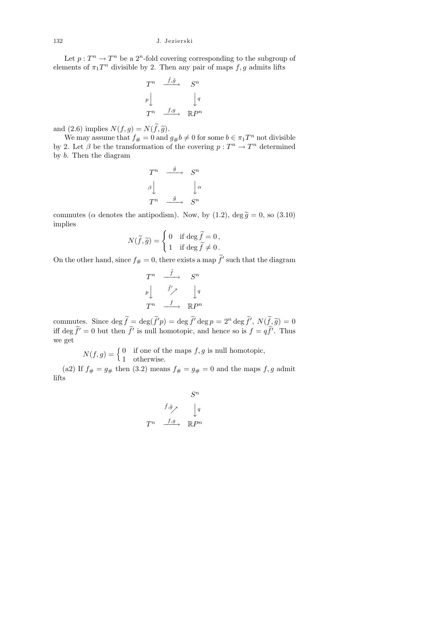Let  $p: T^n \to T^n$  be a 2<sup>n</sup>-fold covering corresponding to the subgroup of elements of  $\pi_1 T^n$  divisible by 2. Then any pair of maps  $f, g$  admits lifts

$$
T^n \xrightarrow{\tilde{f}, \tilde{g}} S^n
$$
  
\n
$$
p \downarrow \qquad \qquad \downarrow q
$$
  
\n
$$
T^n \xrightarrow{f, g} \mathbb{R} P^n
$$

and (2.6) implies  $N(f, g) = N(f, \tilde{g})$ .<br>We may assume that  $f_{\#} = 0$  and  $g_{\#}b \neq 0$  for some  $b \in \pi_1 T^n$  not divisible by 2. Let  $\beta$  be the transformation of the covering  $p: T^n \to T^n$  determined by b. Then the diagram

$$
\begin{array}{ccc}\nT^n & \xrightarrow{\tilde{g}} & S^n \\
\beta \downarrow & & \downarrow \alpha \\
T^n & \xrightarrow{\tilde{g}} & S^n\n\end{array}
$$

commutes ( $\alpha$  denotes the antipodism). Now, by (1.2), deg  $\tilde{g} = 0$ , so (3.10) implies

$$
N(\widetilde{f}, \widetilde{g}) = \begin{cases} 0 & \text{if } \deg \widetilde{f} = 0, \\ 1 & \text{if } \deg \widetilde{f} \neq 0. \end{cases}
$$

On the other hand, since  $f_{\#} = 0$ , there exists a map  $\tilde{f}'$  such that the diagram

$$
\begin{array}{ccc}\nT^n & \xrightarrow{\tilde{f}} & S^n \\
p \downarrow & \xrightarrow{\tilde{f}'} & \downarrow q \\
T^n & \xrightarrow{f} & \mathbb{R}P^n\n\end{array}
$$

commutes. Since  $\deg \tilde{f} = \deg(\tilde{f}')p = \deg \tilde{f}' \deg p = 2^n \deg \tilde{f}', N(\tilde{f}, \tilde{g}) = 0$ iff deg  $\tilde{f}' = 0$  but then  $\tilde{f}'$  is null homotopic, and hence so is  $f = q\tilde{f}'$ . Thus we get

> $N(f, g) = \begin{cases} 0 & \text{if one of the maps } f, g \text{ is null homotopic,} \\ 1 & \text{otherwise.} \end{cases}$ 1 otherwise.

(a2) If  $f_{\#} = g_{\#}$  then (3.2) means  $f_{\#} = g_{\#} = 0$  and the maps  $f, g$  admit lifts

$$
S^n
$$
\n
$$
\tilde{f}, \tilde{g} \nearrow \qquad \downarrow q
$$
\n
$$
T^n \xrightarrow{f, g} \mathbb{R} P^n
$$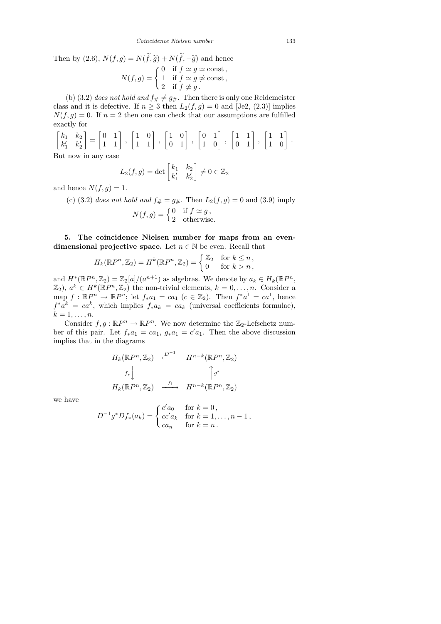Then by (2.6),  $N(f, g) = N(\tilde{f}, \tilde{g}) + N(\tilde{f}, -\tilde{g})$  and hence

$$
N(f,g) = \begin{cases} 0 & \text{if } f \simeq g \simeq \text{const,} \\ 1 & \text{if } f \simeq g \not\simeq \text{const,} \\ 2 & \text{if } f \not\simeq g. \end{cases}
$$

(b) (3.2) does not hold and  $f_{\#} \neq g_{\#}$ . Then there is only one Reidemeister class and it is defective. If  $n \geq 3$  then  $L_2(f,g) = 0$  and [Je2, (2.3)] implies  $N(f, g) = 0$ . If  $n = 2$  then one can check that our assumptions are fulfilled exactly for

$$
\begin{bmatrix} k_1 & k_2 \ k'_1 & k'_2 \end{bmatrix} = \begin{bmatrix} 0 & 1 \ 1 & 1 \end{bmatrix}, \begin{bmatrix} 1 & 0 \ 1 & 1 \end{bmatrix}, \begin{bmatrix} 1 & 0 \ 0 & 1 \end{bmatrix}, \begin{bmatrix} 0 & 1 \ 1 & 0 \end{bmatrix}, \begin{bmatrix} 1 & 1 \ 0 & 1 \end{bmatrix}, \begin{bmatrix} 1 & 1 \ 1 & 0 \end{bmatrix}.
$$

But now in any case

$$
L_2(f,g) = \det \begin{bmatrix} k_1 & k_2 \\ k'_1 & k'_2 \end{bmatrix} \neq 0 \in \mathbb{Z}_2
$$

and hence  $N(f, g) = 1$ .

(c) (3.2) does not hold and  $f_{\#} = g_{\#}$ . Then  $L_2(f, g) = 0$  and (3.9) imply  $N(f,g) = \begin{cases} 0 & \text{if } f \simeq g, \\ 0 & \text{if } g \end{cases}$ 2 otherwise.

5. The coincidence Nielsen number for maps from an evendimensional projective space. Let  $n \in \mathbb{N}$  be even. Recall that

$$
H_k(\mathbb{R}P^n, \mathbb{Z}_2) = H^k(\mathbb{R}P^n, \mathbb{Z}_2) = \begin{cases} \mathbb{Z}_2 & \text{for } k \le n, \\ 0 & \text{for } k > n, \end{cases}
$$

and  $H^*(\mathbb{R}P^n, \mathbb{Z}_2) = \mathbb{Z}_2[a]/(a^{n+1})$  as algebras. We denote by  $a_k \in H_k(\mathbb{R}P^n,$  $\mathbb{Z}_2$ ,  $a^k \in H^k(\mathbb{R}P^n, \mathbb{Z}_2)$  the non-trivial elements,  $k = 0, \ldots, n$ . Consider a map  $f: \mathbb{R}P^n \to \mathbb{R}P^n$ ; let  $f_*a_1 = ca_1$   $(c \in \mathbb{Z}_2)$ . Then  $f^*a^1 = ca^1$ , hence  $f^*a^k = ca^k$ , which implies  $f_*a_k = ca_k$  (universal coefficients formulae),  $k=1,\ldots,n.$ 

Consider  $f, g : \mathbb{R}P^n \to \mathbb{R}P^n$ . We now determine the  $\mathbb{Z}_2$ -Lefschetz number of this pair. Let  $f_* a_1 = ca_1, g_* a_1 = c'a_1$ . Then the above discussion implies that in the diagrams

$$
H_k(\mathbb{R}P^n, \mathbb{Z}_2) \xrightarrow{\mathcal{D}^{-1}} H^{n-k}(\mathbb{R}P^n, \mathbb{Z}_2)
$$
  

$$
f_* \downarrow \qquad \qquad \uparrow g^*
$$
  

$$
H_k(\mathbb{R}P^n, \mathbb{Z}_2) \xrightarrow{D} H^{n-k}(\mathbb{R}P^n, \mathbb{Z}_2)
$$

we have

$$
D^{-1}g^*Df_*(a_k) = \begin{cases} c'a_0 & \text{for } k = 0, \\ cc'a_k & \text{for } k = 1, ..., n-1, \\ ca_n & \text{for } k = n. \end{cases}
$$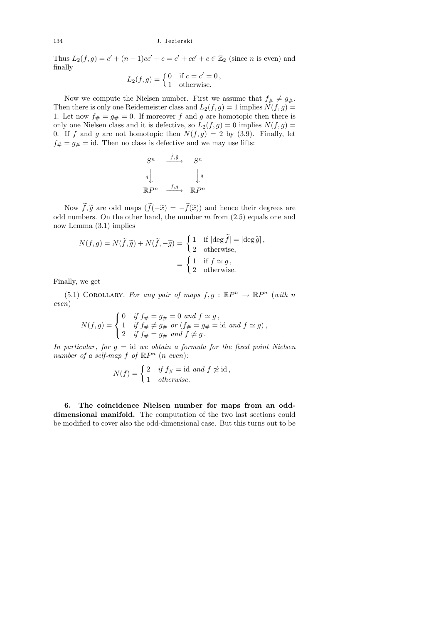Thus  $L_2(f,g) = c' + (n-1)cc' + c = c' + cc' + c \in \mathbb{Z}_2$  (since *n* is even) and finally

$$
L_2(f,g) = \begin{cases} 0 & \text{if } c = c' = 0, \\ 1 & \text{otherwise.} \end{cases}
$$

Now we compute the Nielsen number. First we assume that  $f_{\#} \neq g_{\#}$ . Then there is only one Reidemeister class and  $L_2(f, g) = 1$  implies  $N(f, g) =$ 1. Let now  $f_{\#} = g_{\#} = 0$ . If moreover f and g are homotopic then there is only one Nielsen class and it is defective, so  $L_2(f,g) = 0$  implies  $N(f,g) =$ 0. If f and g are not homotopic then  $N(f, g) = 2$  by (3.9). Finally, let  $f_{#} = g_{#} = id$ . Then no class is defective and we may use lifts:

$$
S^n \xrightarrow{\tilde{f}, \tilde{g}} S^n
$$
\n
$$
q \downarrow \qquad \qquad q^q
$$
\n
$$
\mathbb{R}P^n \xrightarrow{f, g} \mathbb{R}P^n
$$

Now  $f, \tilde{g}$  are odd maps  $(f(-\tilde{x})) = -f(\tilde{x})$  and hence their degrees are<br>lumbers. On the other hand, the number m from (2.5) equals are and odd numbers. On the other hand, the number  $m$  from  $(2.5)$  equals one and now Lemma (3.1) implies

$$
N(f,g) = N(\tilde{f}, \tilde{g}) + N(\tilde{f}, -\tilde{g}) = \begin{cases} 1 & \text{if } |\text{deg } \tilde{f}| = |\text{deg } \tilde{g}|, \\ 2 & \text{otherwise,} \end{cases}
$$

$$
= \begin{cases} 1 & \text{if } f \simeq g, \\ 2 & \text{otherwise.} \end{cases}
$$

Finally, we get

(5.1) COROLLARY. For any pair of maps  $f, g : \mathbb{R}P^n \to \mathbb{R}P^n$  (with n even)

$$
N(f,g) = \begin{cases} 0 & \text{if } f_{#} = g_{#} = 0 \text{ and } f \simeq g, \\ 1 & \text{if } f_{#} \neq g_{#} \text{ or } (f_{#} = g_{#} = \text{id} \text{ and } f \simeq g), \\ 2 & \text{if } f_{#} = g_{#} \text{ and } f \ncong g. \end{cases}
$$

In particular, for  $q = id$  we obtain a formula for the fixed point Nielsen number of a self-map  $f$  of  $\mathbb{R}P^n$  (n even):

$$
N(f) = \begin{cases} 2 & \text{if } f_{\#} = \text{id} \text{ and } f \not\approx \text{id}, \\ 1 & \text{otherwise.} \end{cases}
$$

6. The coincidence Nielsen number for maps from an odddimensional manifold. The computation of the two last sections could be modified to cover also the odd-dimensional case. But this turns out to be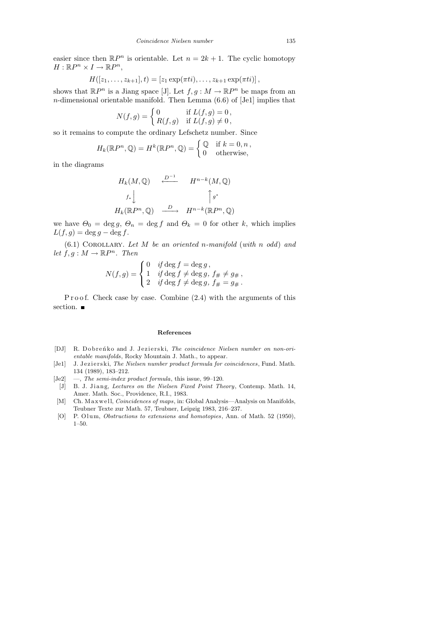easier since then  $\mathbb{R}P^n$  is orientable. Let  $n = 2k + 1$ . The cyclic homotopy  $H: \mathbb{R}P^n \times I \to \mathbb{R}P^n$ ,

$$
H([z_1,\ldots,z_{k+1}],t)=[z_1\exp(\pi t i),\ldots,z_{k+1}\exp(\pi t i)],
$$

shows that  $\mathbb{R}P^n$  is a Jiang space [J]. Let  $f, g: M \to \mathbb{R}P^n$  be maps from an  $n$ -dimensional orientable manifold. Then Lemma  $(6.6)$  of [Je1] implies that

$$
N(f,g) = \begin{cases} 0 & \text{if } L(f,g) = 0, \\ R(f,g) & \text{if } L(f,g) \neq 0, \end{cases}
$$

so it remains to compute the ordinary Lefschetz number. Since

$$
H_k(\mathbb{R}P^n, \mathbb{Q}) = H^k(\mathbb{R}P^n, \mathbb{Q}) = \begin{cases} \mathbb{Q} & \text{if } k = 0, n, \\ 0 & \text{otherwise,} \end{cases}
$$

in the diagrams

$$
H_k(M, \mathbb{Q}) \xrightarrow{\mathcal{D}^{-1}} H^{n-k}(M, \mathbb{Q})
$$
  

$$
f_* \downarrow \qquad \qquad \uparrow g^*
$$
  

$$
H_k(\mathbb{R}P^n, \mathbb{Q}) \xrightarrow{D} H^{n-k}(\mathbb{R}P^n, \mathbb{Q})
$$

we have  $\Theta_0 = \deg g, \Theta_n = \deg f$  and  $\Theta_k = 0$  for other k, which implies  $L(f, g) = \deg g - \deg f.$ 

 $(6.1)$  COROLLARY. Let M be an oriented n-manifold (with n odd) and let  $f, g: M \to \mathbb{R}P^n$ . Then

$$
N(f,g) = \begin{cases} 0 & \text{if } \deg f = \deg g, \\ 1 & \text{if } \deg f \neq \deg g, \\ 2 & \text{if } \deg f \neq \deg g, \\ f_{\#} = g_{\#}. \end{cases}
$$

P r o o f. Check case by case. Combine  $(2.4)$  with the arguments of this section.  $\blacksquare$ 

## References

- [DJ] R. Dobrenko and J. Jezierski, The coincidence Nielsen number on non-orientable manifolds, Rocky Mountain J. Math., to appear.
- [Je1] J. Jezierski, The Nielsen number product formula for coincidences, Fund. Math. 134 (1989), 183–212.
- [Je2] —, The semi-index product formula, this issue, 99–120.
- [J] B. J. Jiang, Lectures on the Nielsen Fixed Point Theory, Contemp. Math. 14, Amer. Math. Soc., Providence, R.I., 1983.
- [M] Ch. Maxwell, *Coincidences of maps*, in: Global Analysis—Analysis on Manifolds, Teubner Texte zur Math. 57, Teubner, Leipzig 1983, 216–237.
- [O] P. Olum, *Obstructions to extensions and homotopies*, Ann. of Math. 52 (1950), 1–50.